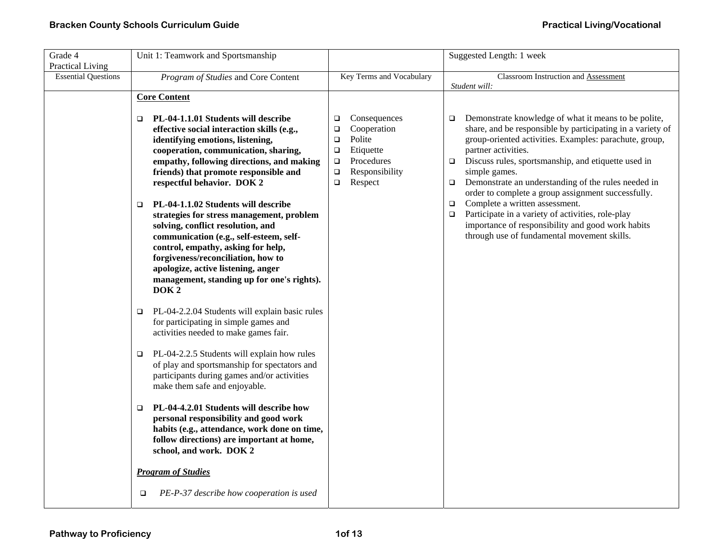| Grade 4                                        | Unit 1: Teamwork and Sportsmanship                                                                                                                                                                                                                                                                                                                                                                                                                                                                                                                                                                                                                                                                                                                                                                                                                                                                                                                                                                                                                                                                                                                                                                                                            |                                                                                                                                                                     | Suggested Length: 1 week                                                                                                                                                                                                                                                                                                                                                                                                                                                                                                                                                                                                              |
|------------------------------------------------|-----------------------------------------------------------------------------------------------------------------------------------------------------------------------------------------------------------------------------------------------------------------------------------------------------------------------------------------------------------------------------------------------------------------------------------------------------------------------------------------------------------------------------------------------------------------------------------------------------------------------------------------------------------------------------------------------------------------------------------------------------------------------------------------------------------------------------------------------------------------------------------------------------------------------------------------------------------------------------------------------------------------------------------------------------------------------------------------------------------------------------------------------------------------------------------------------------------------------------------------------|---------------------------------------------------------------------------------------------------------------------------------------------------------------------|---------------------------------------------------------------------------------------------------------------------------------------------------------------------------------------------------------------------------------------------------------------------------------------------------------------------------------------------------------------------------------------------------------------------------------------------------------------------------------------------------------------------------------------------------------------------------------------------------------------------------------------|
| Practical Living<br><b>Essential Questions</b> | Program of Studies and Core Content                                                                                                                                                                                                                                                                                                                                                                                                                                                                                                                                                                                                                                                                                                                                                                                                                                                                                                                                                                                                                                                                                                                                                                                                           | Key Terms and Vocabulary                                                                                                                                            | Classroom Instruction and Assessment<br>Student will:                                                                                                                                                                                                                                                                                                                                                                                                                                                                                                                                                                                 |
|                                                | <b>Core Content</b>                                                                                                                                                                                                                                                                                                                                                                                                                                                                                                                                                                                                                                                                                                                                                                                                                                                                                                                                                                                                                                                                                                                                                                                                                           |                                                                                                                                                                     |                                                                                                                                                                                                                                                                                                                                                                                                                                                                                                                                                                                                                                       |
|                                                | PL-04-1.1.01 Students will describe<br>□<br>effective social interaction skills (e.g.,<br>identifying emotions, listening,<br>cooperation, communication, sharing,<br>empathy, following directions, and making<br>friends) that promote responsible and<br>respectful behavior. DOK 2<br>PL-04-1.1.02 Students will describe<br>$\Box$<br>strategies for stress management, problem<br>solving, conflict resolution, and<br>communication (e.g., self-esteem, self-<br>control, empathy, asking for help,<br>forgiveness/reconciliation, how to<br>apologize, active listening, anger<br>management, standing up for one's rights).<br>DOK <sub>2</sub><br>PL-04-2.2.04 Students will explain basic rules<br>□<br>for participating in simple games and<br>activities needed to make games fair.<br>PL-04-2.2.5 Students will explain how rules<br>$\Box$<br>of play and sportsmanship for spectators and<br>participants during games and/or activities<br>make them safe and enjoyable.<br>PL-04-4.2.01 Students will describe how<br>$\Box$<br>personal responsibility and good work<br>habits (e.g., attendance, work done on time,<br>follow directions) are important at home,<br>school, and work. DOK 2<br><b>Program of Studies</b> | Consequences<br>$\Box$<br>Cooperation<br>$\Box$<br>Polite<br>$\Box$<br>Etiquette<br>$\Box$<br>Procedures<br>$\Box$<br>Responsibility<br>$\Box$<br>Respect<br>$\Box$ | Demonstrate knowledge of what it means to be polite,<br>$\Box$<br>share, and be responsible by participating in a variety of<br>group-oriented activities. Examples: parachute, group,<br>partner activities.<br>Discuss rules, sportsmanship, and etiquette used in<br>$\Box$<br>simple games.<br>Demonstrate an understanding of the rules needed in<br>$\Box$<br>order to complete a group assignment successfully.<br>Complete a written assessment.<br>$\Box$<br>Participate in a variety of activities, role-play<br>$\Box$<br>importance of responsibility and good work habits<br>through use of fundamental movement skills. |
|                                                | PE-P-37 describe how cooperation is used<br>o                                                                                                                                                                                                                                                                                                                                                                                                                                                                                                                                                                                                                                                                                                                                                                                                                                                                                                                                                                                                                                                                                                                                                                                                 |                                                                                                                                                                     |                                                                                                                                                                                                                                                                                                                                                                                                                                                                                                                                                                                                                                       |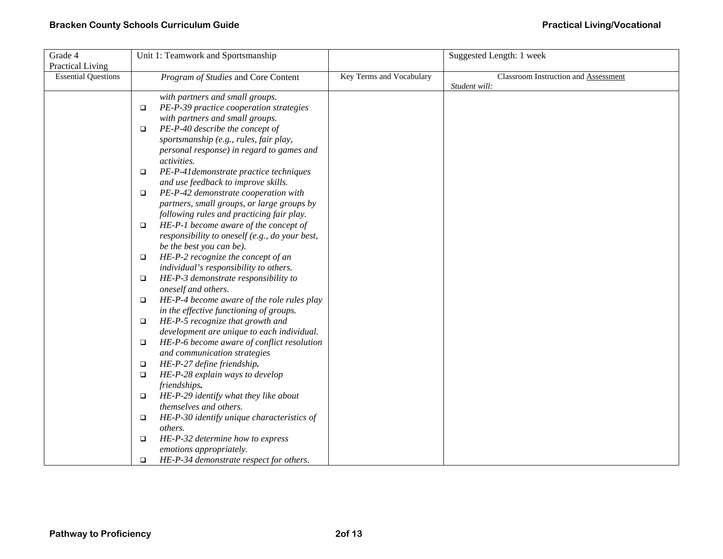| Grade 4                    |        | Unit 1: Teamwork and Sportsmanship             |                          | Suggested Length: 1 week             |
|----------------------------|--------|------------------------------------------------|--------------------------|--------------------------------------|
| Practical Living           |        |                                                |                          |                                      |
| <b>Essential Questions</b> |        | Program of Studies and Core Content            | Key Terms and Vocabulary | Classroom Instruction and Assessment |
|                            |        |                                                |                          | Student will:                        |
|                            |        | with partners and small groups.                |                          |                                      |
|                            | $\Box$ | PE-P-39 practice cooperation strategies        |                          |                                      |
|                            |        | with partners and small groups.                |                          |                                      |
|                            | $\Box$ | PE-P-40 describe the concept of                |                          |                                      |
|                            |        | sportsmanship (e.g., rules, fair play,         |                          |                                      |
|                            |        | personal response) in regard to games and      |                          |                                      |
|                            |        | <i>activities.</i>                             |                          |                                      |
|                            | $\Box$ | PE-P-41 demonstrate practice techniques        |                          |                                      |
|                            |        | and use feedback to improve skills.            |                          |                                      |
|                            | $\Box$ | PE-P-42 demonstrate cooperation with           |                          |                                      |
|                            |        | partners, small groups, or large groups by     |                          |                                      |
|                            |        | following rules and practicing fair play.      |                          |                                      |
|                            | $\Box$ | HE-P-1 become aware of the concept of          |                          |                                      |
|                            |        | responsibility to oneself (e.g., do your best, |                          |                                      |
|                            |        | be the best you can be).                       |                          |                                      |
|                            | $\Box$ | HE-P-2 recognize the concept of an             |                          |                                      |
|                            |        | individual's responsibility to others.         |                          |                                      |
|                            | $\Box$ | HE-P-3 demonstrate responsibility to           |                          |                                      |
|                            |        | oneself and others.                            |                          |                                      |
|                            | $\Box$ | HE-P-4 become aware of the role rules play     |                          |                                      |
|                            |        | in the effective functioning of groups.        |                          |                                      |
|                            | $\Box$ | HE-P-5 recognize that growth and               |                          |                                      |
|                            |        | development are unique to each individual.     |                          |                                      |
|                            | $\Box$ | HE-P-6 become aware of conflict resolution     |                          |                                      |
|                            |        | and communication strategies                   |                          |                                      |
|                            | $\Box$ | HE-P-27 define friendship.                     |                          |                                      |
|                            | $\Box$ | HE-P-28 explain ways to develop                |                          |                                      |
|                            |        | friendships.                                   |                          |                                      |
|                            | $\Box$ | HE-P-29 identify what they like about          |                          |                                      |
|                            |        | themselves and others.                         |                          |                                      |
|                            | $\Box$ | HE-P-30 identify unique characteristics of     |                          |                                      |
|                            |        | others.                                        |                          |                                      |
|                            | $\Box$ | HE-P-32 determine how to express               |                          |                                      |
|                            |        | emotions appropriately.                        |                          |                                      |
|                            | $\Box$ | HE-P-34 demonstrate respect for others.        |                          |                                      |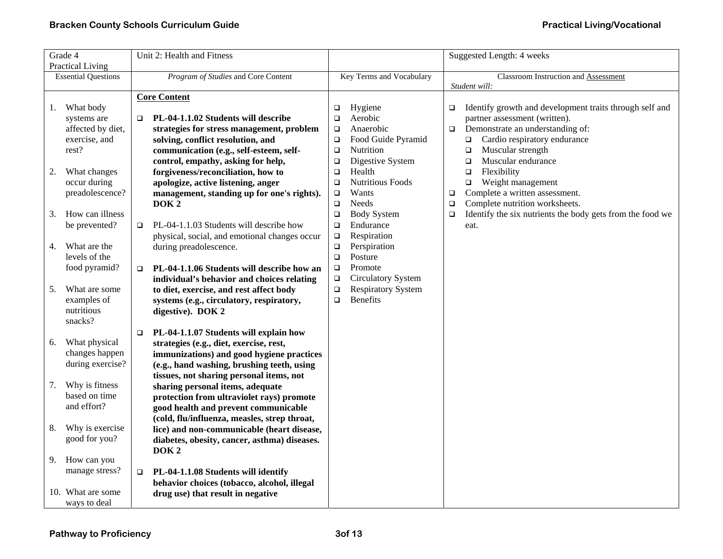|    | Grade 4                         | Unit 2: Health and Fitness                                                              |                  |                                 |                  | Suggested Length: 4 weeks                                                                   |
|----|---------------------------------|-----------------------------------------------------------------------------------------|------------------|---------------------------------|------------------|---------------------------------------------------------------------------------------------|
|    | <b>Practical Living</b>         |                                                                                         |                  |                                 |                  |                                                                                             |
|    | <b>Essential Questions</b>      | Program of Studies and Core Content                                                     |                  | <b>Key Terms and Vocabulary</b> |                  | Classroom Instruction and Assessment<br>Student will:                                       |
|    |                                 | <b>Core Content</b>                                                                     |                  |                                 |                  |                                                                                             |
| 1. | What body                       |                                                                                         | □                | Hygiene                         | $\Box$           | Identify growth and development traits through self and                                     |
|    | systems are                     | PL-04-1.1.02 Students will describe                                                     | $\Box$           | Aerobic                         |                  | partner assessment (written).                                                               |
|    | affected by diet,               | strategies for stress management, problem                                               | $\Box$           | Anaerobic                       | $\Box$           | Demonstrate an understanding of:                                                            |
|    | exercise, and                   | solving, conflict resolution, and                                                       | $\Box$           | Food Guide Pyramid              |                  | Cardio respiratory endurance<br>❏                                                           |
|    | rest?                           | communication (e.g., self-esteem, self-                                                 | $\Box$           | Nutrition                       |                  | Muscular strength<br>$\Box$                                                                 |
|    |                                 | control, empathy, asking for help,                                                      | $\Box$           | Digestive System                |                  | Muscular endurance<br>$\Box$                                                                |
| 2. | What changes                    | forgiveness/reconciliation, how to                                                      | $\Box$           | Health                          |                  | Flexibility<br>$\Box$                                                                       |
|    | occur during                    | apologize, active listening, anger                                                      | $\Box$           | <b>Nutritious Foods</b>         |                  | Weight management<br>$\Box$                                                                 |
|    | preadolescence?                 | management, standing up for one's rights).                                              | $\Box$           | Wants                           | $\Box$           | Complete a written assessment.                                                              |
| 3. | How can illness                 | DOK <sub>2</sub>                                                                        | $\Box$<br>$\Box$ | Needs<br><b>Body System</b>     | $\Box$<br>$\Box$ | Complete nutrition worksheets.<br>Identify the six nutrients the body gets from the food we |
|    | be prevented?                   | PL-04-1.1.03 Students will describe how<br>$\Box$                                       | $\Box$           | Endurance                       |                  | eat.                                                                                        |
|    |                                 | physical, social, and emotional changes occur                                           | $\Box$           | Respiration                     |                  |                                                                                             |
| 4. | What are the                    | during preadolescence.                                                                  | $\Box$           | Perspiration                    |                  |                                                                                             |
|    | levels of the                   |                                                                                         | $\Box$           | Posture                         |                  |                                                                                             |
|    | food pyramid?                   | PL-04-1.1.06 Students will describe how an<br>$\Box$                                    | $\Box$           | Promote                         |                  |                                                                                             |
|    |                                 | individual's behavior and choices relating                                              | $\Box$           | <b>Circulatory System</b>       |                  |                                                                                             |
| 5. | What are some                   | to diet, exercise, and rest affect body                                                 | $\Box$           | <b>Respiratory System</b>       |                  |                                                                                             |
|    | examples of                     | systems (e.g., circulatory, respiratory,                                                | $\Box$           | <b>Benefits</b>                 |                  |                                                                                             |
|    | nutritious                      | digestive). DOK 2                                                                       |                  |                                 |                  |                                                                                             |
|    | snacks?                         |                                                                                         |                  |                                 |                  |                                                                                             |
|    |                                 | PL-04-1.1.07 Students will explain how<br>$\Box$                                        |                  |                                 |                  |                                                                                             |
| 6. | What physical<br>changes happen | strategies (e.g., diet, exercise, rest,                                                 |                  |                                 |                  |                                                                                             |
|    | during exercise?                | immunizations) and good hygiene practices<br>(e.g., hand washing, brushing teeth, using |                  |                                 |                  |                                                                                             |
|    |                                 | tissues, not sharing personal items, not                                                |                  |                                 |                  |                                                                                             |
| 7. | Why is fitness                  | sharing personal items, adequate                                                        |                  |                                 |                  |                                                                                             |
|    | based on time                   | protection from ultraviolet rays) promote                                               |                  |                                 |                  |                                                                                             |
|    | and effort?                     | good health and prevent communicable                                                    |                  |                                 |                  |                                                                                             |
|    |                                 | (cold, flu/influenza, measles, strep throat,                                            |                  |                                 |                  |                                                                                             |
| 8. | Why is exercise                 | lice) and non-communicable (heart disease,                                              |                  |                                 |                  |                                                                                             |
|    | good for you?                   | diabetes, obesity, cancer, asthma) diseases.                                            |                  |                                 |                  |                                                                                             |
|    |                                 | DOK <sub>2</sub>                                                                        |                  |                                 |                  |                                                                                             |
| 9. | How can you                     |                                                                                         |                  |                                 |                  |                                                                                             |
|    | manage stress?                  | PL-04-1.1.08 Students will identify<br>$\Box$                                           |                  |                                 |                  |                                                                                             |
|    | 10. What are some               | behavior choices (tobacco, alcohol, illegal                                             |                  |                                 |                  |                                                                                             |
|    | ways to deal                    | drug use) that result in negative                                                       |                  |                                 |                  |                                                                                             |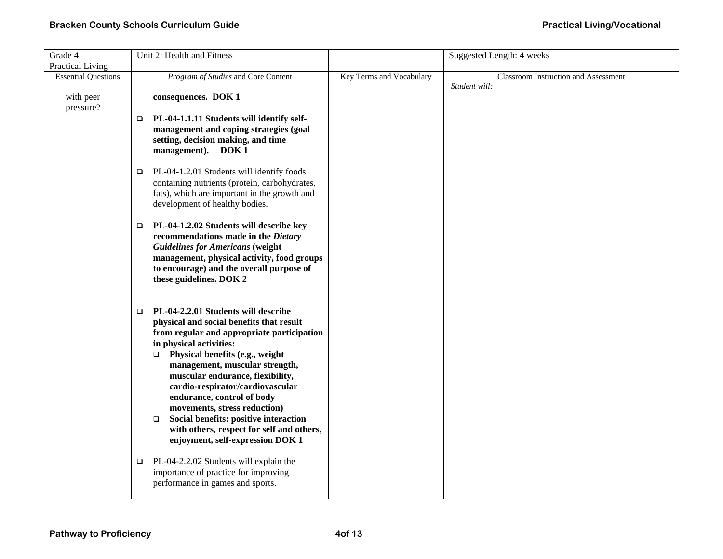| Grade 4                    | Unit 2: Health and Fitness                                            |                          | Suggested Length: 4 weeks            |
|----------------------------|-----------------------------------------------------------------------|--------------------------|--------------------------------------|
| Practical Living           |                                                                       |                          |                                      |
| <b>Essential Questions</b> | Program of Studies and Core Content                                   | Key Terms and Vocabulary | Classroom Instruction and Assessment |
|                            |                                                                       |                          | Student will:                        |
| with peer                  | consequences. DOK 1                                                   |                          |                                      |
| pressure?                  |                                                                       |                          |                                      |
|                            | PL-04-1.1.11 Students will identify self-<br>$\Box$                   |                          |                                      |
|                            | management and coping strategies (goal                                |                          |                                      |
|                            | setting, decision making, and time                                    |                          |                                      |
|                            | management). DOK 1                                                    |                          |                                      |
|                            | PL-04-1.2.01 Students will identify foods<br>$\Box$                   |                          |                                      |
|                            | containing nutrients (protein, carbohydrates,                         |                          |                                      |
|                            | fats), which are important in the growth and                          |                          |                                      |
|                            | development of healthy bodies.                                        |                          |                                      |
|                            |                                                                       |                          |                                      |
|                            | PL-04-1.2.02 Students will describe key<br>$\Box$                     |                          |                                      |
|                            | recommendations made in the Dietary                                   |                          |                                      |
|                            | <b>Guidelines for Americans (weight</b>                               |                          |                                      |
|                            | management, physical activity, food groups                            |                          |                                      |
|                            | to encourage) and the overall purpose of                              |                          |                                      |
|                            | these guidelines. DOK 2                                               |                          |                                      |
|                            |                                                                       |                          |                                      |
|                            |                                                                       |                          |                                      |
|                            | PL-04-2.2.01 Students will describe<br>$\Box$                         |                          |                                      |
|                            | physical and social benefits that result                              |                          |                                      |
|                            | from regular and appropriate participation<br>in physical activities: |                          |                                      |
|                            | $\Box$ Physical benefits (e.g., weight                                |                          |                                      |
|                            | management, muscular strength,                                        |                          |                                      |
|                            | muscular endurance, flexibility,                                      |                          |                                      |
|                            | cardio-respirator/cardiovascular                                      |                          |                                      |
|                            | endurance, control of body                                            |                          |                                      |
|                            | movements, stress reduction)                                          |                          |                                      |
|                            | Social benefits: positive interaction<br>$\Box$                       |                          |                                      |
|                            | with others, respect for self and others,                             |                          |                                      |
|                            | enjoyment, self-expression DOK 1                                      |                          |                                      |
|                            |                                                                       |                          |                                      |
|                            | PL-04-2.2.02 Students will explain the<br>□                           |                          |                                      |
|                            | importance of practice for improving                                  |                          |                                      |
|                            | performance in games and sports.                                      |                          |                                      |
|                            |                                                                       |                          |                                      |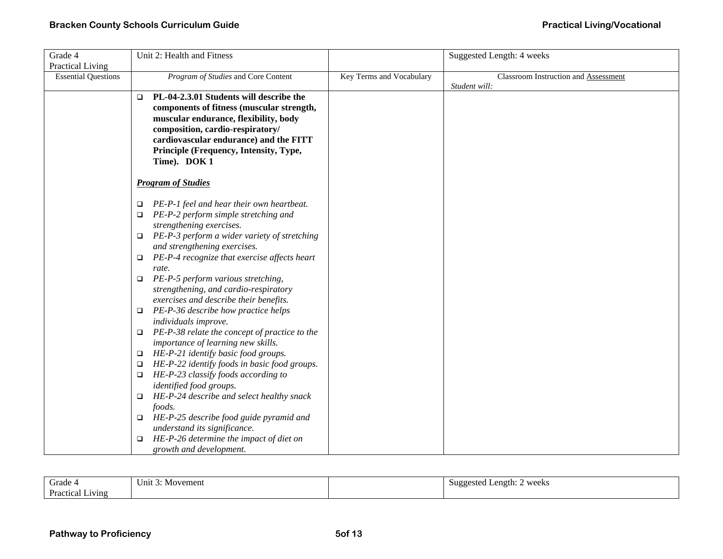| Grade 4                    | Unit 2: Health and Fitness                                                      |                          | Suggested Length: 4 weeks            |
|----------------------------|---------------------------------------------------------------------------------|--------------------------|--------------------------------------|
| Practical Living           |                                                                                 |                          |                                      |
| <b>Essential Questions</b> | Program of Studies and Core Content                                             | Key Terms and Vocabulary | Classroom Instruction and Assessment |
|                            |                                                                                 |                          | Student will:                        |
|                            | PL-04-2.3.01 Students will describe the<br>$\Box$                               |                          |                                      |
|                            | components of fitness (muscular strength,                                       |                          |                                      |
|                            | muscular endurance, flexibility, body                                           |                          |                                      |
|                            | composition, cardio-respiratory/                                                |                          |                                      |
|                            | cardiovascular endurance) and the FITT                                          |                          |                                      |
|                            | Principle (Frequency, Intensity, Type,<br>Time). DOK 1                          |                          |                                      |
|                            |                                                                                 |                          |                                      |
|                            | <b>Program of Studies</b>                                                       |                          |                                      |
|                            |                                                                                 |                          |                                      |
|                            | PE-P-1 feel and hear their own heartbeat.<br>$\Box$                             |                          |                                      |
|                            | PE-P-2 perform simple stretching and<br>$\Box$                                  |                          |                                      |
|                            | strengthening exercises.                                                        |                          |                                      |
|                            | PE-P-3 perform a wider variety of stretching<br>$\Box$                          |                          |                                      |
|                            | and strengthening exercises.                                                    |                          |                                      |
|                            | PE-P-4 recognize that exercise affects heart<br>$\Box$                          |                          |                                      |
|                            | rate.                                                                           |                          |                                      |
|                            | PE-P-5 perform various stretching,<br>$\Box$                                    |                          |                                      |
|                            | strengthening, and cardio-respiratory                                           |                          |                                      |
|                            | exercises and describe their benefits.                                          |                          |                                      |
|                            | PE-P-36 describe how practice helps<br>$\Box$                                   |                          |                                      |
|                            | individuals improve.<br>PE-P-38 relate the concept of practice to the<br>$\Box$ |                          |                                      |
|                            | importance of learning new skills.                                              |                          |                                      |
|                            | HE-P-21 identify basic food groups.<br>$\Box$                                   |                          |                                      |
|                            | HE-P-22 identify foods in basic food groups.<br>$\Box$                          |                          |                                      |
|                            | HE-P-23 classify foods according to<br>$\Box$                                   |                          |                                      |
|                            | identified food groups.                                                         |                          |                                      |
|                            | HE-P-24 describe and select healthy snack<br>$\Box$                             |                          |                                      |
|                            | foods.                                                                          |                          |                                      |
|                            | HE-P-25 describe food guide pyramid and<br>$\Box$                               |                          |                                      |
|                            | understand its significance.                                                    |                          |                                      |
|                            | HE-P-26 determine the impact of diet on<br>$\Box$                               |                          |                                      |
|                            | growth and development.                                                         |                          |                                      |

| $\tilde{\phantom{a}}$<br>Grade<br>. د        | $\overline{\phantom{a}}$<br>Movement<br>Unit 3: | weeks<br>Length:<br>Suggested<br>ັ |
|----------------------------------------------|-------------------------------------------------|------------------------------------|
| $\overline{\phantom{a}}$<br>Practical Living |                                                 |                                    |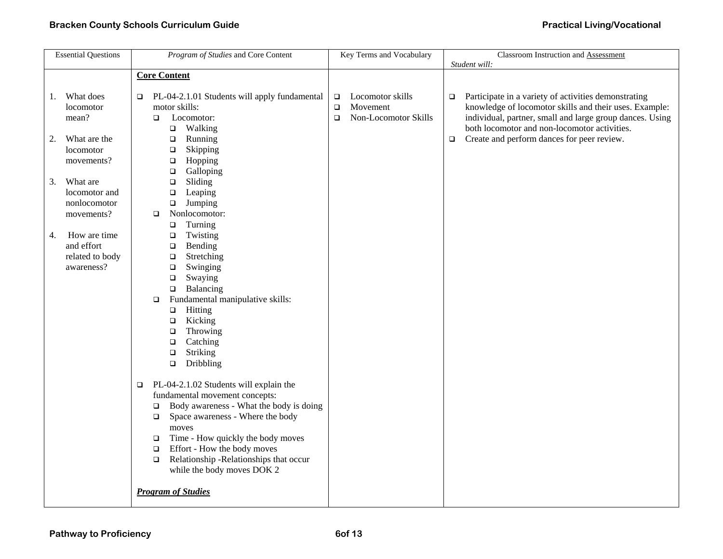| <b>Essential Questions</b>                                                                                                                | Program of Studies and Core Content                                                                                                                                                                                                                                                                                                                                                                   | Key Terms and Vocabulary                                                           | Classroom Instruction and Assessment                                                                                                                                                                                                                                                                          |
|-------------------------------------------------------------------------------------------------------------------------------------------|-------------------------------------------------------------------------------------------------------------------------------------------------------------------------------------------------------------------------------------------------------------------------------------------------------------------------------------------------------------------------------------------------------|------------------------------------------------------------------------------------|---------------------------------------------------------------------------------------------------------------------------------------------------------------------------------------------------------------------------------------------------------------------------------------------------------------|
|                                                                                                                                           |                                                                                                                                                                                                                                                                                                                                                                                                       |                                                                                    |                                                                                                                                                                                                                                                                                                               |
| What does<br>1.<br>locomotor<br>mean?<br>What are the<br>2.<br>locomotor<br>movements?<br>What are<br>3.<br>locomotor and<br>nonlocomotor | <b>Core Content</b><br>PL-04-2.1.01 Students will apply fundamental<br>$\Box$<br>motor skills:<br>Locomotor:<br>$\Box$<br>$\Box$ Walking<br>Running<br>$\Box$<br>$\Box$<br>Skipping<br>Hopping<br>$\Box$<br>Galloping<br>$\Box$<br>Sliding<br>$\Box$<br>$\Box$<br>Leaping<br>Jumping<br>$\Box$                                                                                                        | Locomotor skills<br>$\Box$<br>Movement<br>$\Box$<br>$\Box$<br>Non-Locomotor Skills | Student will:<br>Participate in a variety of activities demonstrating<br>$\Box$<br>knowledge of locomotor skills and their uses. Example:<br>individual, partner, small and large group dances. Using<br>both locomotor and non-locomotor activities.<br>Create and perform dances for peer review.<br>$\Box$ |
| movements?<br>How are time<br>4.<br>and effort<br>related to body<br>awareness?                                                           | Nonlocomotor:<br>$\Box$<br>Turning<br>$\Box$<br>Twisting<br>$\Box$<br>Bending<br>$\Box$<br>Stretching<br>$\Box$<br>Swinging<br>$\Box$<br>Swaying<br>$\Box$<br>Balancing<br>$\Box$<br>Fundamental manipulative skills:<br>$\Box$<br>Hitting<br>$\Box$<br>Kicking<br>$\Box$<br>Throwing<br>$\Box$<br>Catching<br>$\Box$<br>Striking<br>$\Box$<br>Dribbling<br>$\Box$                                    |                                                                                    |                                                                                                                                                                                                                                                                                                               |
|                                                                                                                                           | PL-04-2.1.02 Students will explain the<br>$\Box$<br>fundamental movement concepts:<br>Body awareness - What the body is doing<br>$\Box$<br>Space awareness - Where the body<br>$\Box$<br>moves<br>Time - How quickly the body moves<br>$\Box$<br>Effort - How the body moves<br>$\Box$<br>Relationship -Relationships that occur<br>$\Box$<br>while the body moves DOK 2<br><b>Program of Studies</b> |                                                                                    |                                                                                                                                                                                                                                                                                                               |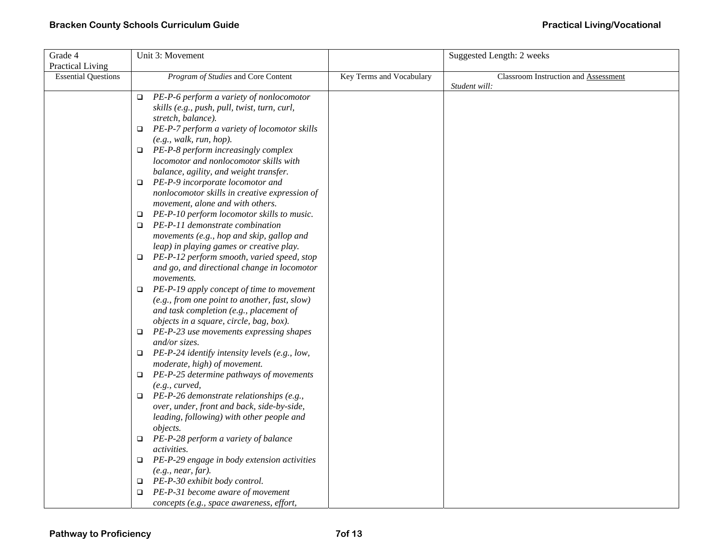| Grade 4                    | Unit 3: Movement                                        |                          | Suggested Length: 2 weeks            |
|----------------------------|---------------------------------------------------------|--------------------------|--------------------------------------|
| <b>Practical Living</b>    |                                                         |                          |                                      |
| <b>Essential Questions</b> | Program of Studies and Core Content                     | Key Terms and Vocabulary | Classroom Instruction and Assessment |
|                            |                                                         |                          | Student will:                        |
|                            | PE-P-6 perform a variety of nonlocomotor<br>$\Box$      |                          |                                      |
|                            | skills (e.g., push, pull, twist, turn, curl,            |                          |                                      |
|                            | stretch, balance).                                      |                          |                                      |
|                            | PE-P-7 perform a variety of locomotor skills<br>$\Box$  |                          |                                      |
|                            | (e.g., walk, run, hop).                                 |                          |                                      |
|                            | $\Box$ PE-P-8 perform increasingly complex              |                          |                                      |
|                            | locomotor and nonlocomotor skills with                  |                          |                                      |
|                            | balance, agility, and weight transfer.                  |                          |                                      |
|                            | PE-P-9 incorporate locomotor and<br>$\Box$              |                          |                                      |
|                            | nonlocomotor skills in creative expression of           |                          |                                      |
|                            | movement, alone and with others.                        |                          |                                      |
|                            | PE-P-10 perform locomotor skills to music.<br>□         |                          |                                      |
|                            | PE-P-11 demonstrate combination<br>□                    |                          |                                      |
|                            | movements (e.g., hop and skip, gallop and               |                          |                                      |
|                            | leap) in playing games or creative play.                |                          |                                      |
|                            | $\Box$ PE-P-12 perform smooth, varied speed, stop       |                          |                                      |
|                            | and go, and directional change in locomotor             |                          |                                      |
|                            | movements.                                              |                          |                                      |
|                            | PE-P-19 apply concept of time to movement<br>$\Box$     |                          |                                      |
|                            | (e.g., from one point to another, fast, slow)           |                          |                                      |
|                            | and task completion (e.g., placement of                 |                          |                                      |
|                            | objects in a square, circle, bag, box).                 |                          |                                      |
|                            | PE-P-23 use movements expressing shapes<br>$\Box$       |                          |                                      |
|                            | and/or sizes.                                           |                          |                                      |
|                            | PE-P-24 identify intensity levels (e.g., low,<br>$\Box$ |                          |                                      |
|                            | moderate, high) of movement.                            |                          |                                      |
|                            | PE-P-25 determine pathways of movements<br>$\Box$       |                          |                                      |
|                            | (e.g., curved,                                          |                          |                                      |
|                            | PE-P-26 demonstrate relationships (e.g.,<br>$\Box$      |                          |                                      |
|                            | over, under, front and back, side-by-side,              |                          |                                      |
|                            | leading, following) with other people and               |                          |                                      |
|                            | <i>objects.</i>                                         |                          |                                      |
|                            | PE-P-28 perform a variety of balance<br>□               |                          |                                      |
|                            | <i>activities.</i>                                      |                          |                                      |
|                            | PE-P-29 engage in body extension activities<br>$\Box$   |                          |                                      |
|                            | (e.g., near, far).                                      |                          |                                      |
|                            | PE-P-30 exhibit body control.<br>□                      |                          |                                      |
|                            | PE-P-31 become aware of movement                        |                          |                                      |
|                            | concepts (e.g., space awareness, effort,                |                          |                                      |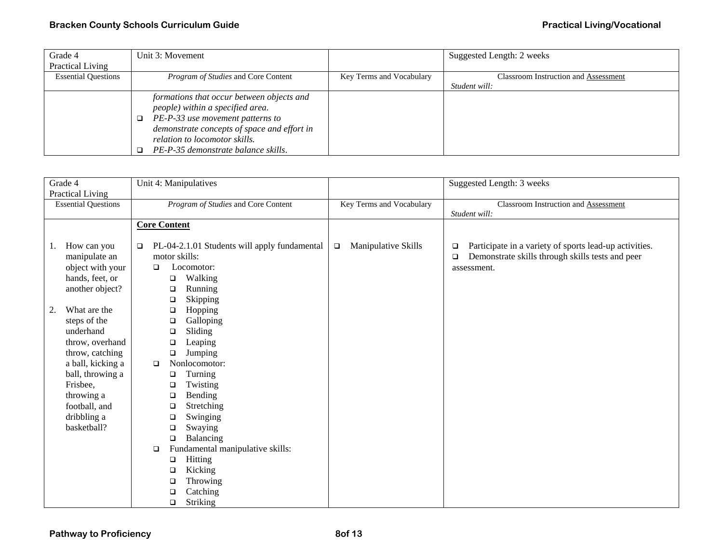## **Bracken County Schools Curriculum Guide** <br> **Bracken County Schools Curriculum Guide Practical Living/Vocational**

| Grade 4                    | Unit 3: Movement                            |                          | Suggested Length: 2 weeks                   |
|----------------------------|---------------------------------------------|--------------------------|---------------------------------------------|
| Practical Living           |                                             |                          |                                             |
| <b>Essential Questions</b> | <i>Program of Studies</i> and Core Content  | Key Terms and Vocabulary | <b>Classroom Instruction and Assessment</b> |
|                            |                                             |                          | Student will:                               |
|                            | formations that occur between objects and   |                          |                                             |
|                            | people) within a specified area.            |                          |                                             |
|                            | PE-P-33 use movement patterns to            |                          |                                             |
|                            | demonstrate concepts of space and effort in |                          |                                             |
|                            | relation to locomotor skills.               |                          |                                             |
|                            | PE-P-35 demonstrate balance skills.         |                          |                                             |

| Grade 4                                                                                                                                                                                                                                                                                                 | Unit 4: Manipulatives                                                                                                                                                                                                                                                                                                                                                                                                                                                                                |                               | Suggested Length: 3 weeks                                                                                                                     |
|---------------------------------------------------------------------------------------------------------------------------------------------------------------------------------------------------------------------------------------------------------------------------------------------------------|------------------------------------------------------------------------------------------------------------------------------------------------------------------------------------------------------------------------------------------------------------------------------------------------------------------------------------------------------------------------------------------------------------------------------------------------------------------------------------------------------|-------------------------------|-----------------------------------------------------------------------------------------------------------------------------------------------|
| Practical Living                                                                                                                                                                                                                                                                                        |                                                                                                                                                                                                                                                                                                                                                                                                                                                                                                      |                               |                                                                                                                                               |
| <b>Essential Questions</b>                                                                                                                                                                                                                                                                              | Program of Studies and Core Content                                                                                                                                                                                                                                                                                                                                                                                                                                                                  | Key Terms and Vocabulary      | Classroom Instruction and Assessment                                                                                                          |
|                                                                                                                                                                                                                                                                                                         |                                                                                                                                                                                                                                                                                                                                                                                                                                                                                                      |                               | Student will:                                                                                                                                 |
|                                                                                                                                                                                                                                                                                                         | <b>Core Content</b>                                                                                                                                                                                                                                                                                                                                                                                                                                                                                  |                               |                                                                                                                                               |
| How can you<br>1.<br>manipulate an<br>object with your<br>hands, feet, or<br>another object?<br>What are the<br>2.<br>steps of the<br>underhand<br>throw, overhand<br>throw, catching<br>a ball, kicking a<br>ball, throwing a<br>Frisbee,<br>throwing a<br>football, and<br>dribbling a<br>basketball? | PL-04-2.1.01 Students will apply fundamental<br>$\Box$<br>motor skills:<br>Locomotor:<br>$\Box$<br>Walking<br>□<br>Running<br>□<br>Skipping<br>$\Box$<br>Hopping<br>□<br>Galloping<br>$\Box$<br>Sliding<br>$\Box$<br>Leaping<br>$\Box$<br>Jumping<br>$\Box$<br>Nonlocomotor:<br>$\Box$<br>Turning<br>□<br>Twisting<br>$\Box$<br>Bending<br>$\Box$<br>Stretching<br>$\Box$<br>Swinging<br>□<br>Swaying<br>$\Box$<br>Balancing<br>$\Box$<br>Fundamental manipulative skills:<br>$\Box$<br>Hitting<br>□ | Manipulative Skills<br>$\Box$ | Participate in a variety of sports lead-up activities.<br>$\Box$<br>Demonstrate skills through skills tests and peer<br>$\Box$<br>assessment. |
|                                                                                                                                                                                                                                                                                                         | Kicking<br>□<br>Throwing<br>□                                                                                                                                                                                                                                                                                                                                                                                                                                                                        |                               |                                                                                                                                               |
|                                                                                                                                                                                                                                                                                                         | Catching<br>□                                                                                                                                                                                                                                                                                                                                                                                                                                                                                        |                               |                                                                                                                                               |
|                                                                                                                                                                                                                                                                                                         | Striking<br>$\Box$                                                                                                                                                                                                                                                                                                                                                                                                                                                                                   |                               |                                                                                                                                               |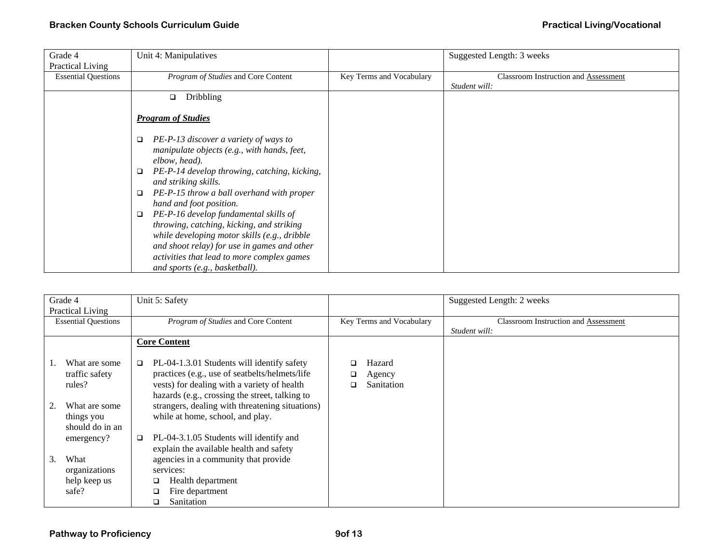| Grade 4                    | Unit 4: Manipulatives                               |                          | Suggested Length: 3 weeks                   |
|----------------------------|-----------------------------------------------------|--------------------------|---------------------------------------------|
| <b>Practical Living</b>    |                                                     |                          |                                             |
| <b>Essential Questions</b> | Program of Studies and Core Content                 | Key Terms and Vocabulary | <b>Classroom Instruction and Assessment</b> |
|                            |                                                     |                          | Student will:                               |
|                            | <b>Dribbling</b><br>□                               |                          |                                             |
|                            |                                                     |                          |                                             |
|                            | <b>Program of Studies</b>                           |                          |                                             |
|                            |                                                     |                          |                                             |
|                            | PE-P-13 discover a variety of ways to<br>□          |                          |                                             |
|                            | manipulate objects (e.g., with hands, feet,         |                          |                                             |
|                            | elbow, head).                                       |                          |                                             |
|                            | PE-P-14 develop throwing, catching, kicking,<br>□   |                          |                                             |
|                            | and striking skills.                                |                          |                                             |
|                            | PE-P-15 throw a ball overhand with proper<br>$\Box$ |                          |                                             |
|                            | hand and foot position.                             |                          |                                             |
|                            | PE-P-16 develop fundamental skills of<br>$\Box$     |                          |                                             |
|                            | throwing, catching, kicking, and striking           |                          |                                             |
|                            | while developing motor skills (e.g., dribble        |                          |                                             |
|                            | and shoot relay) for use in games and other         |                          |                                             |
|                            | activities that lead to more complex games          |                          |                                             |
|                            | and sports (e.g., basketball).                      |                          |                                             |

|    | Grade 4<br>Practical Living                    | Unit 5: Safety                                                                                                                                                                                     |                                          | Suggested Length: 2 weeks                             |
|----|------------------------------------------------|----------------------------------------------------------------------------------------------------------------------------------------------------------------------------------------------------|------------------------------------------|-------------------------------------------------------|
|    | <b>Essential Questions</b>                     | Program of Studies and Core Content                                                                                                                                                                | Key Terms and Vocabulary                 | Classroom Instruction and Assessment<br>Student will: |
|    |                                                | <b>Core Content</b>                                                                                                                                                                                |                                          |                                                       |
|    | What are some<br>traffic safety<br>rules?      | PL-04-1.3.01 Students will identify safety<br>□<br>practices (e.g., use of seatbelts/helmets/life<br>vests) for dealing with a variety of health<br>hazards (e.g., crossing the street, talking to | Hazard<br>Agency<br>□<br>Sanitation<br>□ |                                                       |
|    | What are some<br>things you<br>should do in an | strangers, dealing with threatening situations)<br>while at home, school, and play.                                                                                                                |                                          |                                                       |
|    | emergency?                                     | PL-04-3.1.05 Students will identify and<br>□<br>explain the available health and safety                                                                                                            |                                          |                                                       |
| 3. | What<br>organizations<br>help keep us<br>safe? | agencies in a community that provide<br>services:<br>Health department<br>Fire department<br>Sanitation<br>□                                                                                       |                                          |                                                       |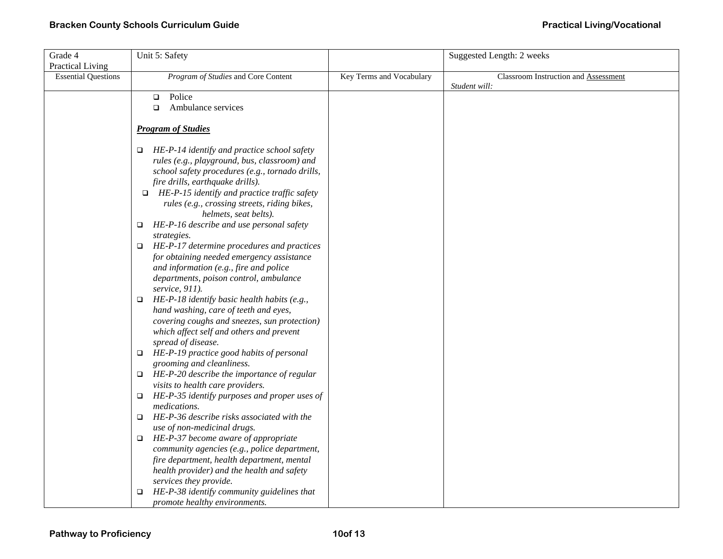| Grade 4                    | Unit 5: Safety                                                                    |                          | Suggested Length: 2 weeks            |
|----------------------------|-----------------------------------------------------------------------------------|--------------------------|--------------------------------------|
| Practical Living           |                                                                                   |                          |                                      |
| <b>Essential Questions</b> | Program of Studies and Core Content                                               | Key Terms and Vocabulary | Classroom Instruction and Assessment |
|                            |                                                                                   |                          | Student will:                        |
|                            | Police<br>$\Box$                                                                  |                          |                                      |
|                            | Ambulance services<br>$\Box$                                                      |                          |                                      |
|                            |                                                                                   |                          |                                      |
|                            | <b>Program of Studies</b>                                                         |                          |                                      |
|                            | $\Box$ HE-P-14 identify and practice school safety                                |                          |                                      |
|                            | rules (e.g., playground, bus, classroom) and                                      |                          |                                      |
|                            | school safety procedures (e.g., tornado drills,                                   |                          |                                      |
|                            | fire drills, earthquake drills).                                                  |                          |                                      |
|                            | $\Box$ HE-P-15 identify and practice traffic safety                               |                          |                                      |
|                            | rules (e.g., crossing streets, riding bikes,                                      |                          |                                      |
|                            | helmets, seat belts).                                                             |                          |                                      |
|                            | HE-P-16 describe and use personal safety<br>$\Box$                                |                          |                                      |
|                            | strategies.                                                                       |                          |                                      |
|                            | $\Box$ HE-P-17 determine procedures and practices                                 |                          |                                      |
|                            | for obtaining needed emergency assistance                                         |                          |                                      |
|                            | and information (e.g., fire and police                                            |                          |                                      |
|                            | departments, poison control, ambulance                                            |                          |                                      |
|                            | service, 911).                                                                    |                          |                                      |
|                            | HE-P-18 identify basic health habits (e.g.,<br>$\Box$                             |                          |                                      |
|                            | hand washing, care of teeth and eyes,                                             |                          |                                      |
|                            | covering coughs and sneezes, sun protection)                                      |                          |                                      |
|                            | which affect self and others and prevent                                          |                          |                                      |
|                            | spread of disease.                                                                |                          |                                      |
|                            | HE-P-19 practice good habits of personal<br>$\Box$                                |                          |                                      |
|                            | grooming and cleanliness.<br>HE-P-20 describe the importance of regular<br>$\Box$ |                          |                                      |
|                            | visits to health care providers.                                                  |                          |                                      |
|                            | HE-P-35 identify purposes and proper uses of                                      |                          |                                      |
|                            | medications.                                                                      |                          |                                      |
|                            | HE-P-36 describe risks associated with the<br>$\Box$                              |                          |                                      |
|                            | use of non-medicinal drugs.                                                       |                          |                                      |
|                            | HE-P-37 become aware of appropriate<br>$\Box$                                     |                          |                                      |
|                            | community agencies (e.g., police department,                                      |                          |                                      |
|                            | fire department, health department, mental                                        |                          |                                      |
|                            | health provider) and the health and safety                                        |                          |                                      |
|                            | services they provide.                                                            |                          |                                      |
|                            | HE-P-38 identify community guidelines that                                        |                          |                                      |
|                            | promote healthy environments.                                                     |                          |                                      |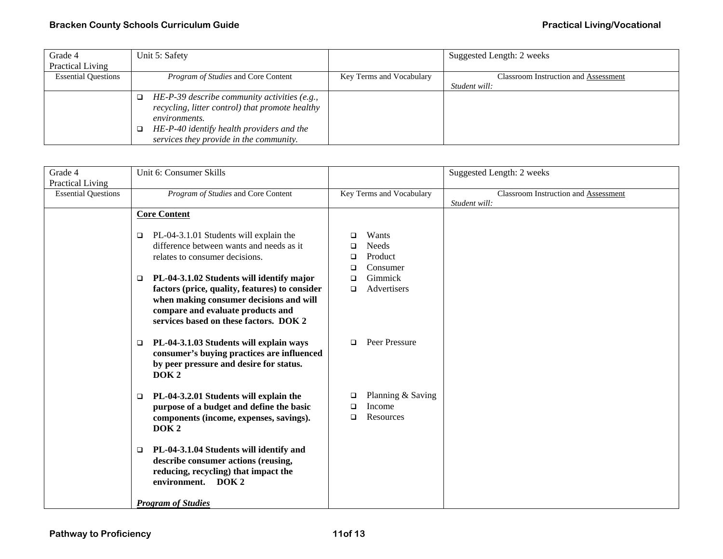## **Bracken County Schools Curriculum Guide** <br> **Bracken County Schools Curriculum Guide Practical Living/Vocational**

| Grade 4                    | Unit 5: Safety                                  |                          | Suggested Length: 2 weeks            |
|----------------------------|-------------------------------------------------|--------------------------|--------------------------------------|
| <b>Practical Living</b>    |                                                 |                          |                                      |
| <b>Essential Questions</b> | <i>Program of Studies</i> and Core Content      | Key Terms and Vocabulary | Classroom Instruction and Assessment |
|                            |                                                 |                          | Student will:                        |
|                            | HE-P-39 describe community activities (e.g.,    |                          |                                      |
|                            | recycling, litter control) that promote healthy |                          |                                      |
|                            | <i>environments.</i>                            |                          |                                      |
|                            | HE-P-40 identify health providers and the       |                          |                                      |
|                            | services they provide in the community.         |                          |                                      |

| Grade 4                    | Unit 6: Consumer Skills                                                                                                                                                                                                                                                                                            |                                                                                                           | Suggested Length: 2 weeks                                    |
|----------------------------|--------------------------------------------------------------------------------------------------------------------------------------------------------------------------------------------------------------------------------------------------------------------------------------------------------------------|-----------------------------------------------------------------------------------------------------------|--------------------------------------------------------------|
| <b>Practical Living</b>    |                                                                                                                                                                                                                                                                                                                    |                                                                                                           |                                                              |
| <b>Essential Questions</b> | Program of Studies and Core Content                                                                                                                                                                                                                                                                                | Key Terms and Vocabulary                                                                                  | <b>Classroom Instruction and Assessment</b><br>Student will: |
|                            | <b>Core Content</b>                                                                                                                                                                                                                                                                                                |                                                                                                           |                                                              |
|                            | PL-04-3.1.01 Students will explain the<br>$\Box$<br>difference between wants and needs as it<br>relates to consumer decisions.<br>PL-04-3.1.02 Students will identify major<br>□<br>factors (price, quality, features) to consider<br>when making consumer decisions and will<br>compare and evaluate products and | Wants<br>□<br><b>Needs</b><br>□<br>Product<br>□<br>Consumer<br>□<br>Gimmick<br>□<br>Advertisers<br>$\Box$ |                                                              |
|                            | services based on these factors. DOK 2<br>PL-04-3.1.03 Students will explain ways<br>□<br>consumer's buying practices are influenced<br>by peer pressure and desire for status.<br>DOK <sub>2</sub>                                                                                                                | Peer Pressure<br>$\Box$                                                                                   |                                                              |
|                            | PL-04-3.2.01 Students will explain the<br>$\Box$<br>purpose of a budget and define the basic<br>components (income, expenses, savings).<br>DOK <sub>2</sub>                                                                                                                                                        | Planning & Saving<br>❏<br>Income<br>□<br>Resources<br>□                                                   |                                                              |
|                            | PL-04-3.1.04 Students will identify and<br>$\Box$<br>describe consumer actions (reusing,<br>reducing, recycling) that impact the<br>environment. DOK 2                                                                                                                                                             |                                                                                                           |                                                              |
|                            | <b>Program of Studies</b>                                                                                                                                                                                                                                                                                          |                                                                                                           |                                                              |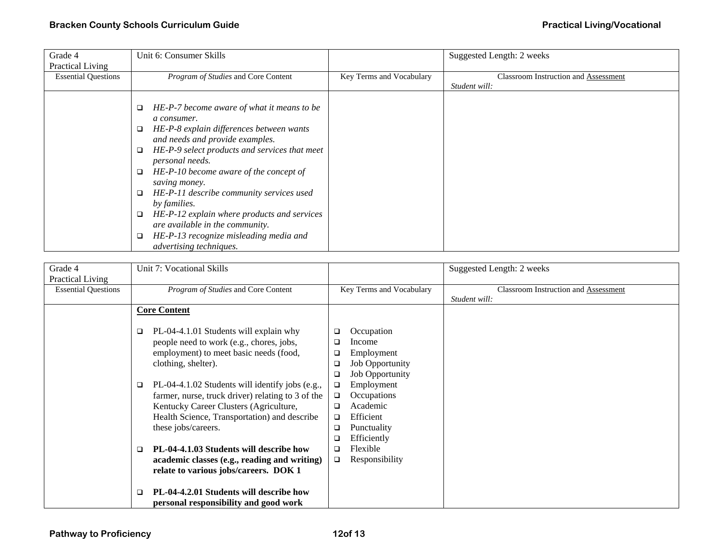| Grade 4                    | Unit 6: Consumer Skills                                                                                                                                                                                                                                                                                                                                                                                                                                                 |                          | Suggested Length: 2 weeks                   |
|----------------------------|-------------------------------------------------------------------------------------------------------------------------------------------------------------------------------------------------------------------------------------------------------------------------------------------------------------------------------------------------------------------------------------------------------------------------------------------------------------------------|--------------------------|---------------------------------------------|
| Practical Living           |                                                                                                                                                                                                                                                                                                                                                                                                                                                                         |                          |                                             |
| <b>Essential Questions</b> | Program of Studies and Core Content                                                                                                                                                                                                                                                                                                                                                                                                                                     | Key Terms and Vocabulary | <b>Classroom Instruction and Assessment</b> |
|                            |                                                                                                                                                                                                                                                                                                                                                                                                                                                                         |                          | Student will:                               |
|                            | HE-P-7 become aware of what it means to be<br>□<br>a consumer.<br>HE-P-8 explain differences between wants<br>□<br>and needs and provide examples.<br>HE-P-9 select products and services that meet<br>$\Box$<br>personal needs.<br>HE-P-10 become aware of the concept of<br>$\Box$<br>saving money.<br>HE-P-11 describe community services used<br>$\Box$<br>by families.<br>HE-P-12 explain where products and services<br>$\Box$<br>are available in the community. |                          |                                             |
|                            | HE-P-13 recognize misleading media and<br>advertising techniques.                                                                                                                                                                                                                                                                                                                                                                                                       |                          |                                             |

| Grade 4                    | Unit 7: Vocational Skills                                                                                                              |                                                        | Suggested Length: 2 weeks                   |
|----------------------------|----------------------------------------------------------------------------------------------------------------------------------------|--------------------------------------------------------|---------------------------------------------|
| Practical Living           |                                                                                                                                        |                                                        |                                             |
| <b>Essential Questions</b> | Program of Studies and Core Content                                                                                                    | Key Terms and Vocabulary                               | <b>Classroom Instruction and Assessment</b> |
|                            |                                                                                                                                        |                                                        | Student will:                               |
|                            | <b>Core Content</b>                                                                                                                    |                                                        |                                             |
|                            | PL-04-4.1.01 Students will explain why<br>$\Box$<br>people need to work (e.g., chores, jobs,<br>employment) to meet basic needs (food, | Occupation<br>$\Box$<br>Income<br>□<br>Employment<br>□ |                                             |
|                            | clothing, shelter).                                                                                                                    | <b>Job Opportunity</b><br>❏                            |                                             |
|                            |                                                                                                                                        | <b>Job Opportunity</b><br>$\Box$                       |                                             |
|                            | PL-04-4.1.02 Students will identify jobs (e.g.,<br>$\Box$                                                                              | Employment<br>$\Box$                                   |                                             |
|                            | farmer, nurse, truck driver) relating to 3 of the                                                                                      | Occupations<br>□                                       |                                             |
|                            | Kentucky Career Clusters (Agriculture,                                                                                                 | Academic<br>□                                          |                                             |
|                            | Health Science, Transportation) and describe                                                                                           | Efficient<br>□                                         |                                             |
|                            | these jobs/careers.                                                                                                                    | Punctuality<br>$\Box$                                  |                                             |
|                            |                                                                                                                                        | Efficiently<br>□                                       |                                             |
|                            | PL-04-4.1.03 Students will describe how<br>□                                                                                           | Flexible<br>◻                                          |                                             |
|                            | academic classes (e.g., reading and writing)                                                                                           | Responsibility<br>$\Box$                               |                                             |
|                            | relate to various jobs/careers. DOK 1                                                                                                  |                                                        |                                             |
|                            | PL-04-4.2.01 Students will describe how<br>$\Box$<br>personal responsibility and good work                                             |                                                        |                                             |